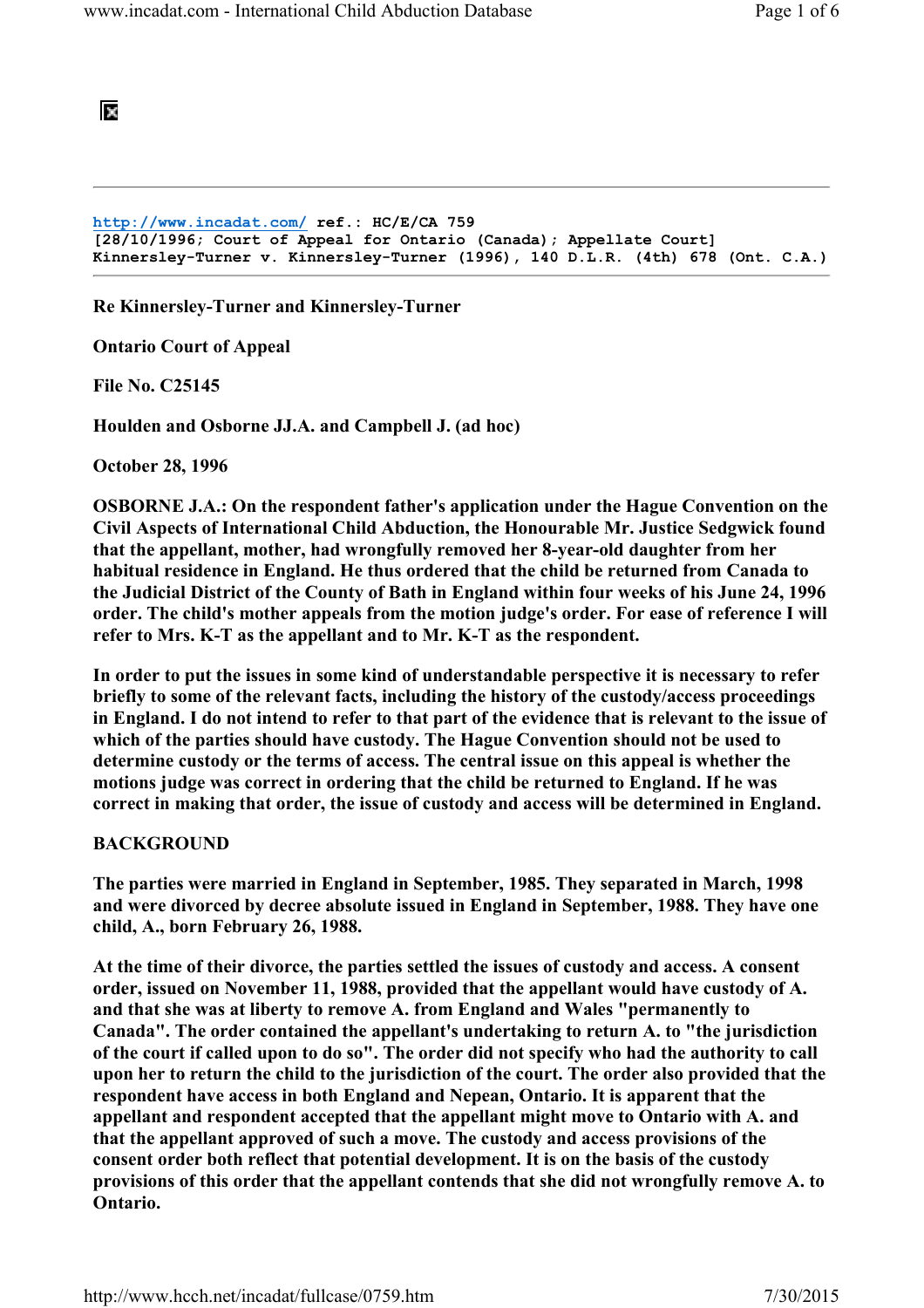# 阪

```
http://www.incadat.com/ ref.: HC/E/CA 759 
[28/10/1996; Court of Appeal for Ontario (Canada); Appellate Court] 
Kinnersley-Turner v. Kinnersley-Turner (1996), 140 D.L.R. (4th) 678 (Ont. C.A.)
```
Re Kinnersley-Turner and Kinnersley-Turner

Ontario Court of Appeal

File No. C25145

Houlden and Osborne JJ.A. and Campbell J. (ad hoc)

October 28, 1996

OSBORNE J.A.: On the respondent father's application under the Hague Convention on the Civil Aspects of International Child Abduction, the Honourable Mr. Justice Sedgwick found that the appellant, mother, had wrongfully removed her 8-year-old daughter from her habitual residence in England. He thus ordered that the child be returned from Canada to the Judicial District of the County of Bath in England within four weeks of his June 24, 1996 order. The child's mother appeals from the motion judge's order. For ease of reference I will refer to Mrs. K-T as the appellant and to Mr. K-T as the respondent.

In order to put the issues in some kind of understandable perspective it is necessary to refer briefly to some of the relevant facts, including the history of the custody/access proceedings in England. I do not intend to refer to that part of the evidence that is relevant to the issue of which of the parties should have custody. The Hague Convention should not be used to determine custody or the terms of access. The central issue on this appeal is whether the motions judge was correct in ordering that the child be returned to England. If he was correct in making that order, the issue of custody and access will be determined in England.

### BACKGROUND

The parties were married in England in September, 1985. They separated in March, 1998 and were divorced by decree absolute issued in England in September, 1988. They have one child, A., born February 26, 1988.

At the time of their divorce, the parties settled the issues of custody and access. A consent order, issued on November 11, 1988, provided that the appellant would have custody of A. and that she was at liberty to remove A. from England and Wales "permanently to Canada". The order contained the appellant's undertaking to return A. to "the jurisdiction of the court if called upon to do so". The order did not specify who had the authority to call upon her to return the child to the jurisdiction of the court. The order also provided that the respondent have access in both England and Nepean, Ontario. It is apparent that the appellant and respondent accepted that the appellant might move to Ontario with A. and that the appellant approved of such a move. The custody and access provisions of the consent order both reflect that potential development. It is on the basis of the custody provisions of this order that the appellant contends that she did not wrongfully remove A. to Ontario.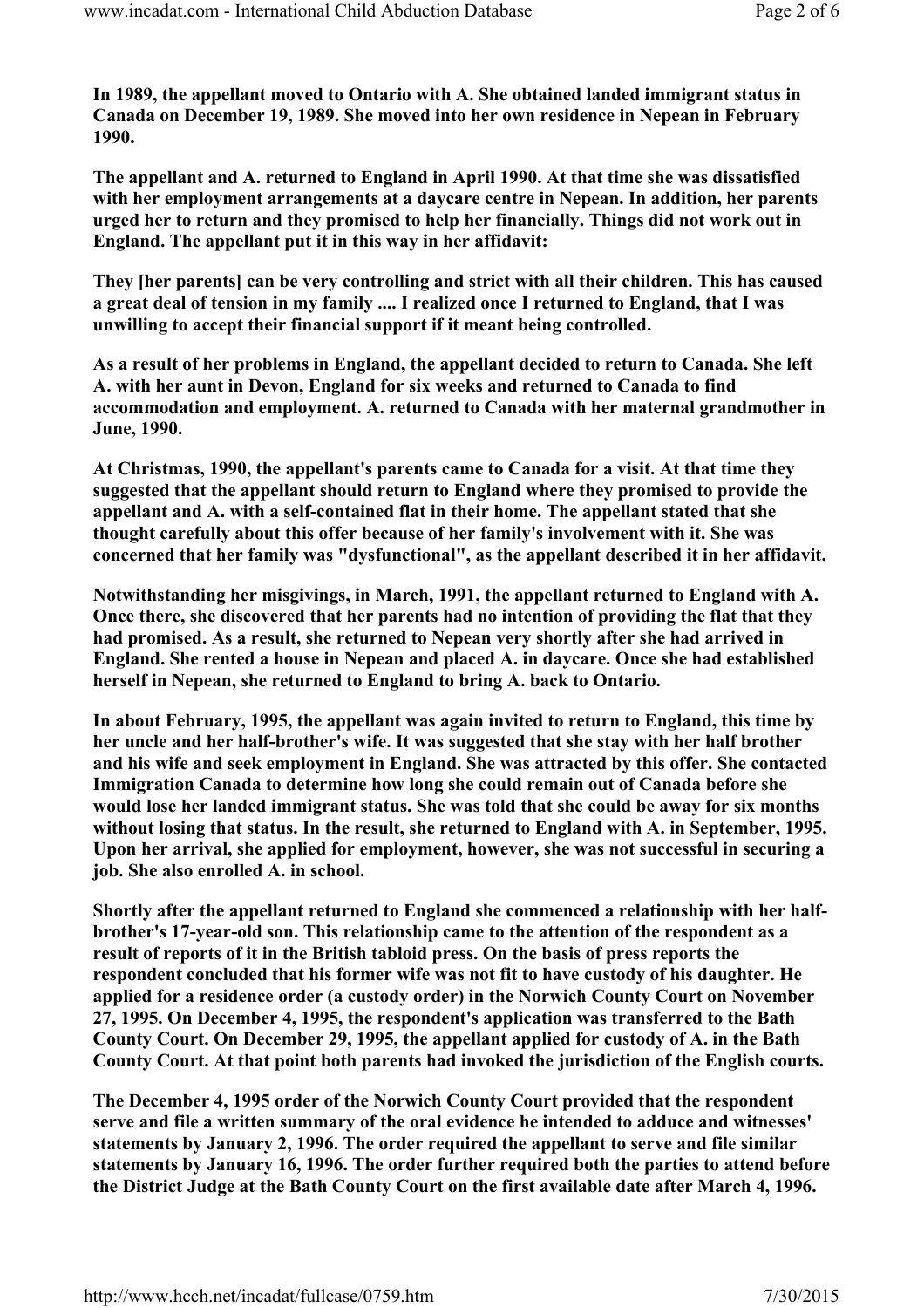In 1989, the appellant moved to Ontario with A. She obtained landed immigrant status in Canada on December 19, 1989. She moved into her own residence in Nepean in February 1990.

The appellant and A. returned to England in April 1990. At that time she was dissatisfied with her employment arrangements at a daycare centre in Nepean. In addition, her parents urged her to return and they promised to help her financially. Things did not work out in England. The appellant put it in this way in her affidavit:

They [her parents] can be very controlling and strict with all their children. This has caused a great deal of tension in my family .... I realized once I returned to England, that I was unwilling to accept their financial support if it meant being controlled.

As a result of her problems in England, the appellant decided to return to Canada. She left A. with her aunt in Devon, England for six weeks and returned to Canada to find accommodation and employment. A. returned to Canada with her maternal grandmother in June, 1990.

At Christmas, 1990, the appellant's parents came to Canada for a visit. At that time they suggested that the appellant should return to England where they promised to provide the appellant and A. with a self-contained flat in their home. The appellant stated that she thought carefully about this offer because of her family's involvement with it. She was concerned that her family was "dysfunctional", as the appellant described it in her affidavit.

Notwithstanding her misgivings, in March, 1991, the appellant returned to England with A. Once there, she discovered that her parents had no intention of providing the flat that they had promised. As a result, she returned to Nepean very shortly after she had arrived in England. She rented a house in Nepean and placed A. in daycare. Once she had established herself in Nepean, she returned to England to bring A. back to Ontario.

In about February, 1995, the appellant was again invited to return to England, this time by her uncle and her half-brother's wife. It was suggested that she stay with her half brother and his wife and seek employment in England. She was attracted by this offer. She contacted Immigration Canada to determine how long she could remain out of Canada before she would lose her landed immigrant status. She was told that she could be away for six months without losing that status. In the result, she returned to England with A. in September, 1995. Upon her arrival, she applied for employment, however, she was not successful in securing a job. She also enrolled A. in school.

Shortly after the appellant returned to England she commenced a relationship with her halfbrother's 17-year-old son. This relationship came to the attention of the respondent as a result of reports of it in the British tabloid press. On the basis of press reports the respondent concluded that his former wife was not fit to have custody of his daughter. He applied for a residence order (a custody order) in the Norwich County Court on November 27, 1995. On December 4, 1995, the respondent's application was transferred to the Bath County Court. On December 29, 1995, the appellant applied for custody of A. in the Bath County Court. At that point both parents had invoked the jurisdiction of the English courts.

The December 4, 1995 order of the Norwich County Court provided that the respondent serve and file a written summary of the oral evidence he intended to adduce and witnesses' statements by January 2, 1996. The order required the appellant to serve and file similar statements by January 16, 1996. The order further required both the parties to attend before the District Judge at the Bath County Court on the first available date after March 4, 1996.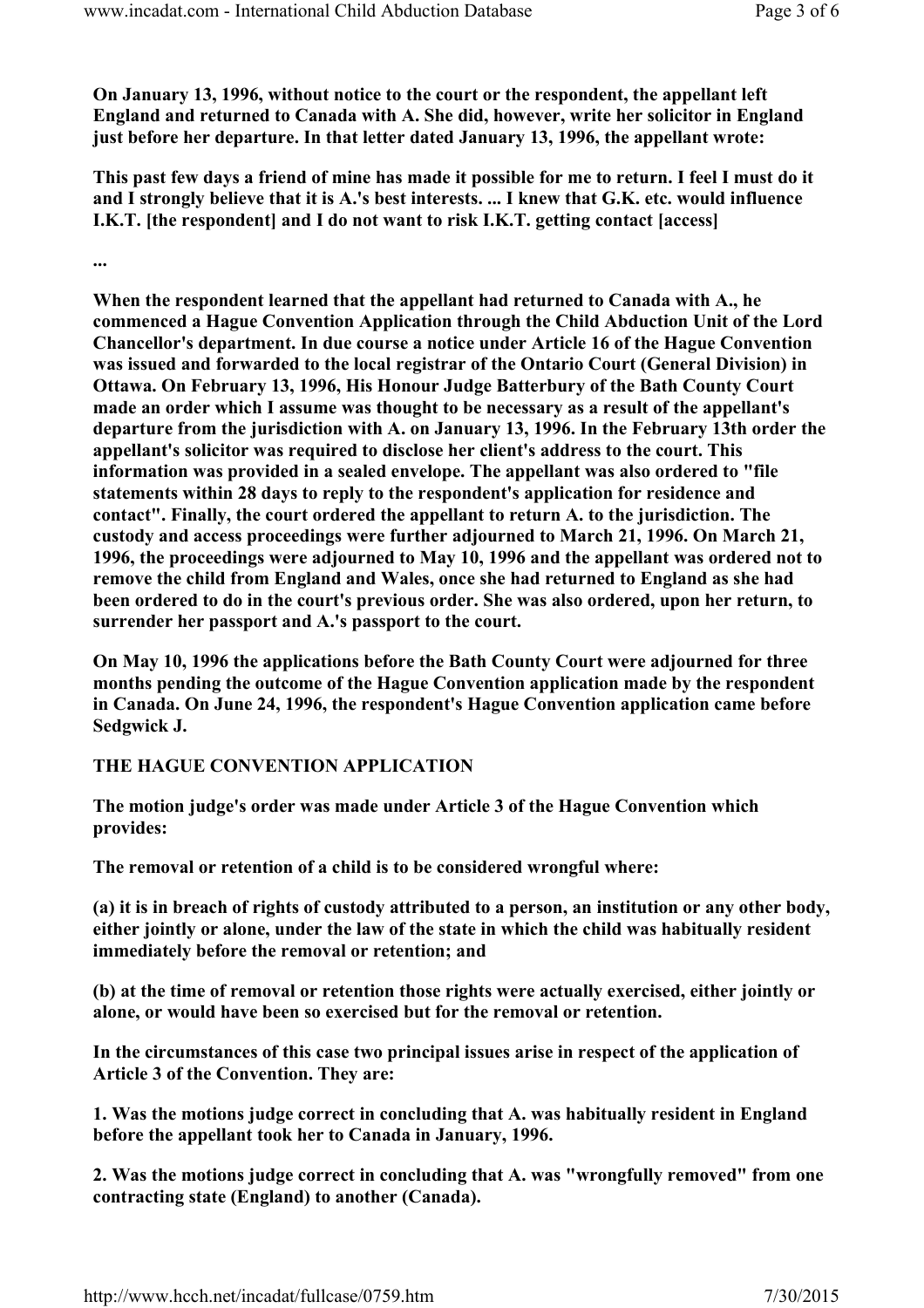On January 13, 1996, without notice to the court or the respondent, the appellant left England and returned to Canada with A. She did, however, write her solicitor in England just before her departure. In that letter dated January 13, 1996, the appellant wrote:

This past few days a friend of mine has made it possible for me to return. I feel I must do it and I strongly believe that it is A.'s best interests. ... I knew that G.K. etc. would influence I.K.T. [the respondent] and I do not want to risk I.K.T. getting contact [access]

...

When the respondent learned that the appellant had returned to Canada with A., he commenced a Hague Convention Application through the Child Abduction Unit of the Lord Chancellor's department. In due course a notice under Article 16 of the Hague Convention was issued and forwarded to the local registrar of the Ontario Court (General Division) in Ottawa. On February 13, 1996, His Honour Judge Batterbury of the Bath County Court made an order which I assume was thought to be necessary as a result of the appellant's departure from the jurisdiction with A. on January 13, 1996. In the February 13th order the appellant's solicitor was required to disclose her client's address to the court. This information was provided in a sealed envelope. The appellant was also ordered to "file statements within 28 days to reply to the respondent's application for residence and contact". Finally, the court ordered the appellant to return A. to the jurisdiction. The custody and access proceedings were further adjourned to March 21, 1996. On March 21, 1996, the proceedings were adjourned to May 10, 1996 and the appellant was ordered not to remove the child from England and Wales, once she had returned to England as she had been ordered to do in the court's previous order. She was also ordered, upon her return, to surrender her passport and A.'s passport to the court.

On May 10, 1996 the applications before the Bath County Court were adjourned for three months pending the outcome of the Hague Convention application made by the respondent in Canada. On June 24, 1996, the respondent's Hague Convention application came before Sedgwick J.

## THE HAGUE CONVENTION APPLICATION

The motion judge's order was made under Article 3 of the Hague Convention which provides:

The removal or retention of a child is to be considered wrongful where:

(a) it is in breach of rights of custody attributed to a person, an institution or any other body, either jointly or alone, under the law of the state in which the child was habitually resident immediately before the removal or retention; and

(b) at the time of removal or retention those rights were actually exercised, either jointly or alone, or would have been so exercised but for the removal or retention.

In the circumstances of this case two principal issues arise in respect of the application of Article 3 of the Convention. They are:

1. Was the motions judge correct in concluding that A. was habitually resident in England before the appellant took her to Canada in January, 1996.

2. Was the motions judge correct in concluding that A. was "wrongfully removed" from one contracting state (England) to another (Canada).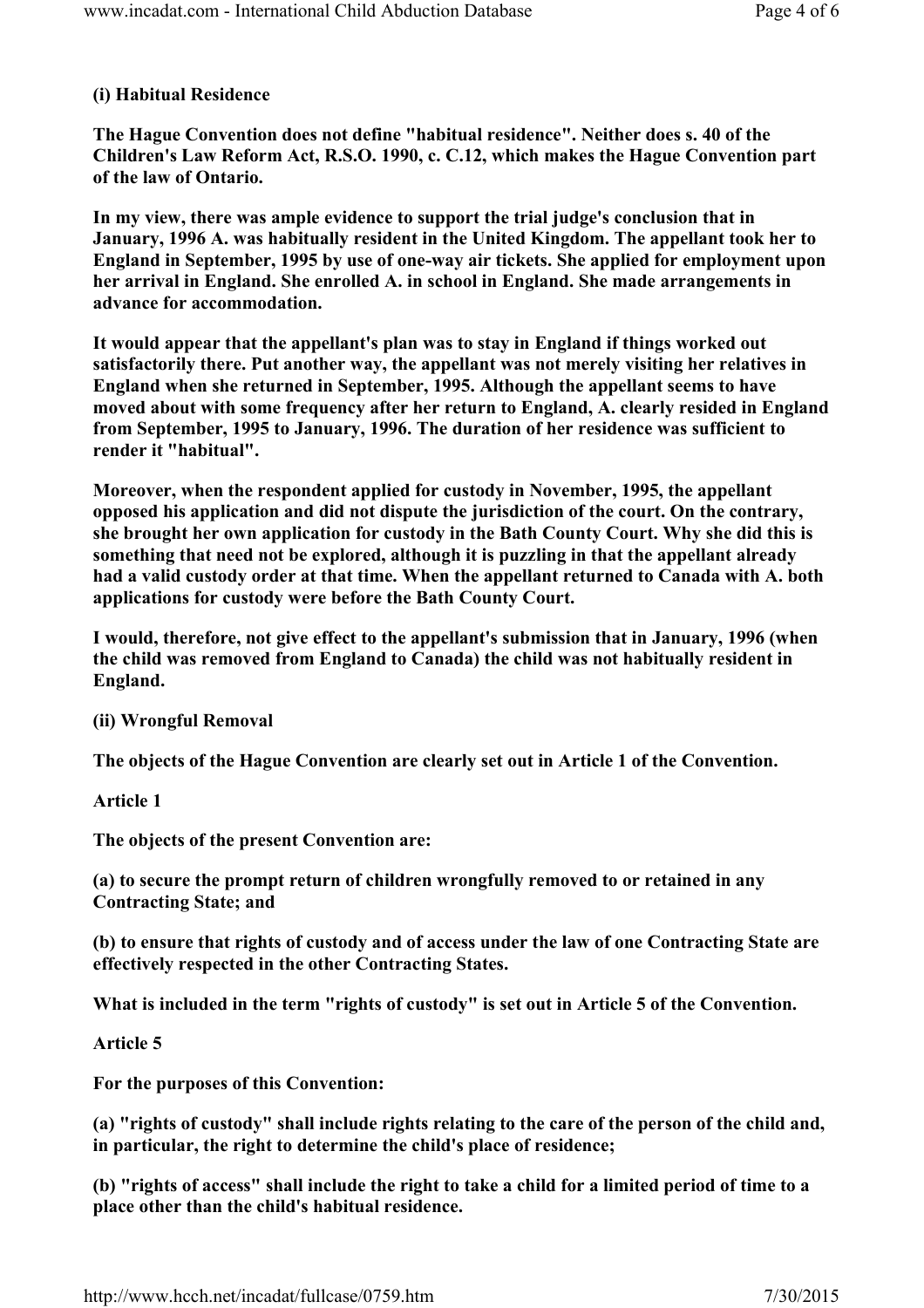## (i) Habitual Residence

The Hague Convention does not define "habitual residence". Neither does s. 40 of the Children's Law Reform Act, R.S.O. 1990, c. C.12, which makes the Hague Convention part of the law of Ontario.

In my view, there was ample evidence to support the trial judge's conclusion that in January, 1996 A. was habitually resident in the United Kingdom. The appellant took her to England in September, 1995 by use of one-way air tickets. She applied for employment upon her arrival in England. She enrolled A. in school in England. She made arrangements in advance for accommodation.

It would appear that the appellant's plan was to stay in England if things worked out satisfactorily there. Put another way, the appellant was not merely visiting her relatives in England when she returned in September, 1995. Although the appellant seems to have moved about with some frequency after her return to England, A. clearly resided in England from September, 1995 to January, 1996. The duration of her residence was sufficient to render it "habitual".

Moreover, when the respondent applied for custody in November, 1995, the appellant opposed his application and did not dispute the jurisdiction of the court. On the contrary, she brought her own application for custody in the Bath County Court. Why she did this is something that need not be explored, although it is puzzling in that the appellant already had a valid custody order at that time. When the appellant returned to Canada with A. both applications for custody were before the Bath County Court.

I would, therefore, not give effect to the appellant's submission that in January, 1996 (when the child was removed from England to Canada) the child was not habitually resident in England.

(ii) Wrongful Removal

The objects of the Hague Convention are clearly set out in Article 1 of the Convention.

Article 1

The objects of the present Convention are:

(a) to secure the prompt return of children wrongfully removed to or retained in any Contracting State; and

(b) to ensure that rights of custody and of access under the law of one Contracting State are effectively respected in the other Contracting States.

What is included in the term "rights of custody" is set out in Article 5 of the Convention.

Article 5

For the purposes of this Convention:

(a) "rights of custody" shall include rights relating to the care of the person of the child and, in particular, the right to determine the child's place of residence;

(b) "rights of access" shall include the right to take a child for a limited period of time to a place other than the child's habitual residence.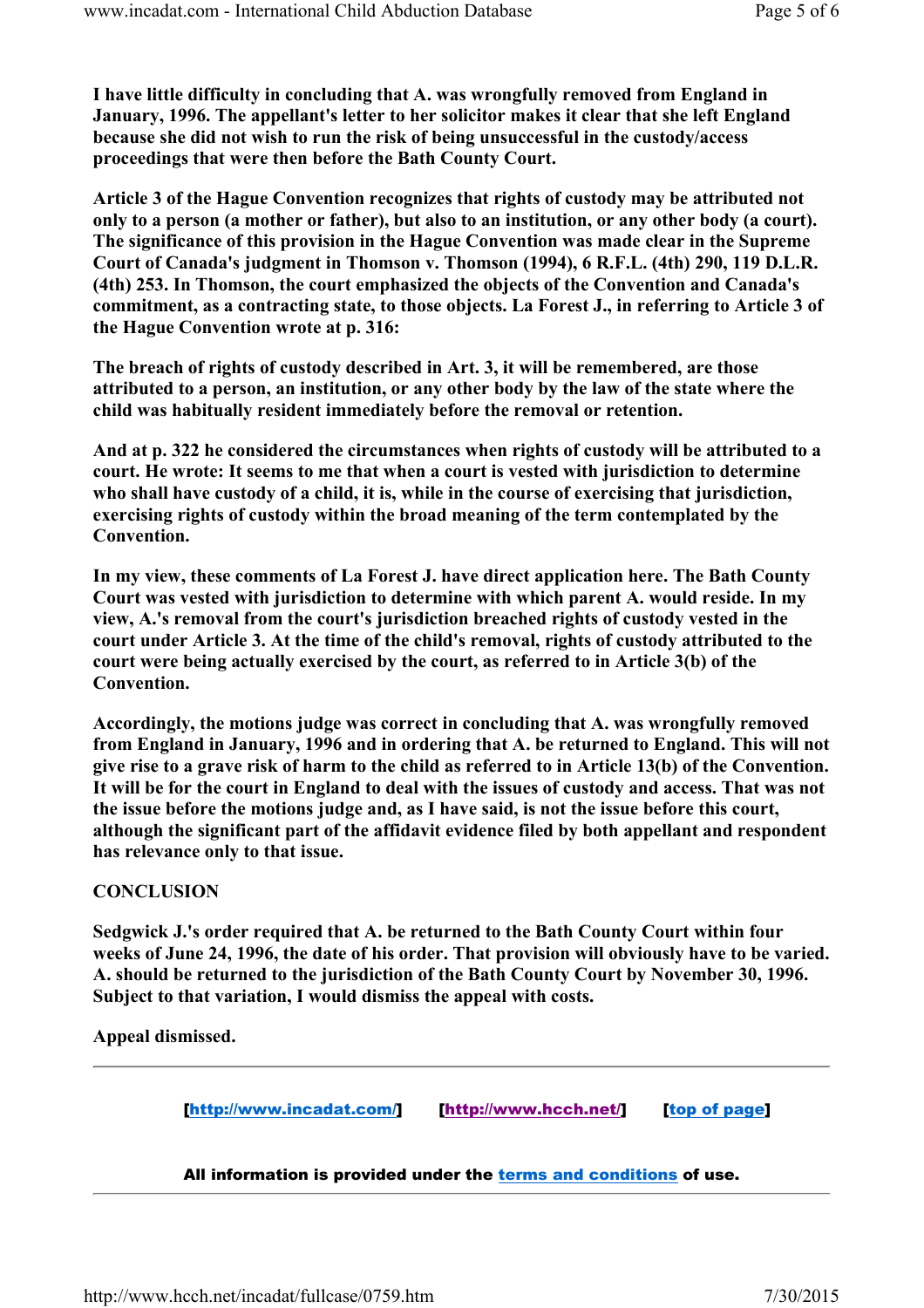I have little difficulty in concluding that A. was wrongfully removed from England in January, 1996. The appellant's letter to her solicitor makes it clear that she left England because she did not wish to run the risk of being unsuccessful in the custody/access proceedings that were then before the Bath County Court.

Article 3 of the Hague Convention recognizes that rights of custody may be attributed not only to a person (a mother or father), but also to an institution, or any other body (a court). The significance of this provision in the Hague Convention was made clear in the Supreme Court of Canada's judgment in Thomson v. Thomson (1994), 6 R.F.L. (4th) 290, 119 D.L.R. (4th) 253. In Thomson, the court emphasized the objects of the Convention and Canada's commitment, as a contracting state, to those objects. La Forest J., in referring to Article 3 of the Hague Convention wrote at p. 316:

The breach of rights of custody described in Art. 3, it will be remembered, are those attributed to a person, an institution, or any other body by the law of the state where the child was habitually resident immediately before the removal or retention.

And at p. 322 he considered the circumstances when rights of custody will be attributed to a court. He wrote: It seems to me that when a court is vested with jurisdiction to determine who shall have custody of a child, it is, while in the course of exercising that jurisdiction, exercising rights of custody within the broad meaning of the term contemplated by the Convention.

In my view, these comments of La Forest J. have direct application here. The Bath County Court was vested with jurisdiction to determine with which parent A. would reside. In my view, A.'s removal from the court's jurisdiction breached rights of custody vested in the court under Article 3. At the time of the child's removal, rights of custody attributed to the court were being actually exercised by the court, as referred to in Article 3(b) of the Convention.

Accordingly, the motions judge was correct in concluding that A. was wrongfully removed from England in January, 1996 and in ordering that A. be returned to England. This will not give rise to a grave risk of harm to the child as referred to in Article 13(b) of the Convention. It will be for the court in England to deal with the issues of custody and access. That was not the issue before the motions judge and, as I have said, is not the issue before this court, although the significant part of the affidavit evidence filed by both appellant and respondent has relevance only to that issue.

## **CONCLUSION**

Sedgwick J.'s order required that A. be returned to the Bath County Court within four weeks of June 24, 1996, the date of his order. That provision will obviously have to be varied. A. should be returned to the jurisdiction of the Bath County Court by November 30, 1996. Subject to that variation, I would dismiss the appeal with costs.

Appeal dismissed.

[http://www.incadat.com/] [http://www.hcch.net/] [top of page]

All information is provided under the terms and conditions of use.